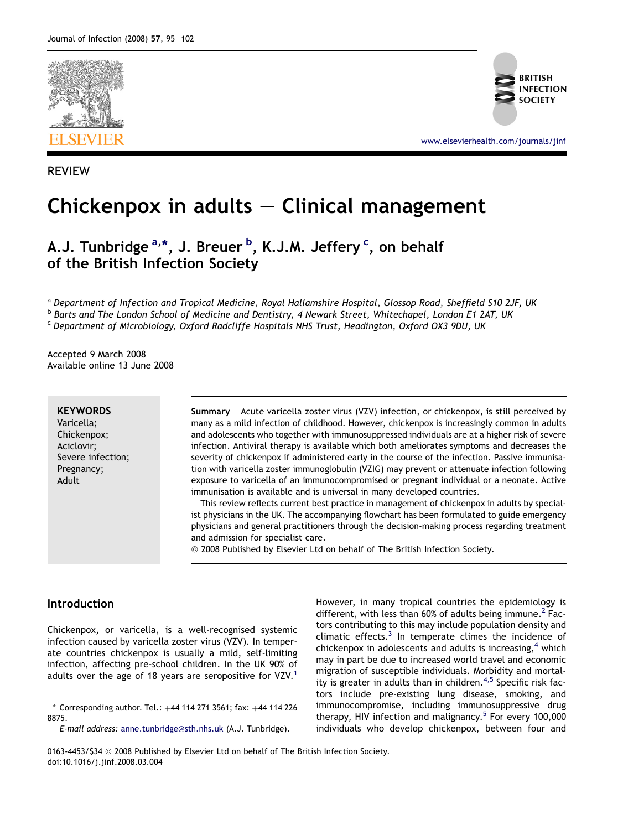

**BRITISH INFECTION** 

[www.elsevierhealth.com/journals/jinf](http://www.elsevierhealth.com/journals/jinf)

# REVIEW

# Chickenpox in adults  $-$  Clinical management

# A.J. Tunbridge <sup>a,\*</sup>, J. Breuer <sup>b</sup>, K.J.M. Jeffery <sup>c</sup>, on behalf of the British Infection Society

a Department of Infection and Tropical Medicine, Royal Hallamshire Hospital, Glossop Road, Sheffield S10 2JF, UK <sup>b</sup> Barts and The London School of Medicine and Dentistry, 4 Newark Street, Whitechapel, London E1 2AT, UK <sup>c</sup> Department of Microbiology, Oxford Radcliffe Hospitals NHS Trust, Headington, Oxford OX3 9DU, UK

Accepted 9 March 2008 Available online 13 June 2008

#### **KEYWORDS**

Varicella; Chickenpox; Aciclovir; Severe infection; Pregnancy; Adult

Summary Acute varicella zoster virus (VZV) infection, or chickenpox, is still perceived by many as a mild infection of childhood. However, chickenpox is increasingly common in adults and adolescents who together with immunosuppressed individuals are at a higher risk of severe infection. Antiviral therapy is available which both ameliorates symptoms and decreases the severity of chickenpox if administered early in the course of the infection. Passive immunisation with varicella zoster immunoglobulin (VZIG) may prevent or attenuate infection following exposure to varicella of an immunocompromised or pregnant individual or a neonate. Active immunisation is available and is universal in many developed countries.

This review reflects current best practice in management of chickenpox in adults by specialist physicians in the UK. The accompanying flowchart has been formulated to guide emergency physicians and general practitioners through the decision-making process regarding treatment and admission for specialist care.

© 2008 Published by Elsevier Ltd on behalf of The British Infection Society.

## Introduction

Chickenpox, or varicella, is a well-recognised systemic infection caused by varicella zoster virus (VZV). In temperate countries chickenpox is usually a mild, self-limiting infection, affecting pre-school children. In the UK 90% of adults over the age of [1](#page-5-0)8 years are seropositive for VZV.<sup>1</sup>

However, in many tropical countries the epidemiology is different, with less than 60% of adults being immune.<sup>[2](#page-5-0)</sup> Factors contributing to this may include population density and climatic effects. $3$  In temperate climes the incidence of chickenpox in adolescents and adults is increasing,  $4$  which may in part be due to increased world travel and economic migration of susceptible individuals. Morbidity and mortal-ity is greater in adults than in children.<sup>[4,5](#page-5-0)</sup> Specific risk factors include pre-existing lung disease, smoking, and immunocompromise, including immunosuppressive drug therapy, HIV infection and malignancy.<sup>[5](#page-5-0)</sup> For every 100,000 individuals who develop chickenpox, between four and

0163-4453/\$34 @ 2008 Published by Elsevier Ltd on behalf of The British Infection Society. doi:10.1016/j.jinf.2008.03.004

 $*$  Corresponding author. Tel.:  $+44$  114 271 3561; fax:  $+44$  114 226 8875.

E-mail address: [anne.tunbridge@sth.nhs.uk](mailto:anne.tunbridge@sth.nhs.uk) (A.J. Tunbridge).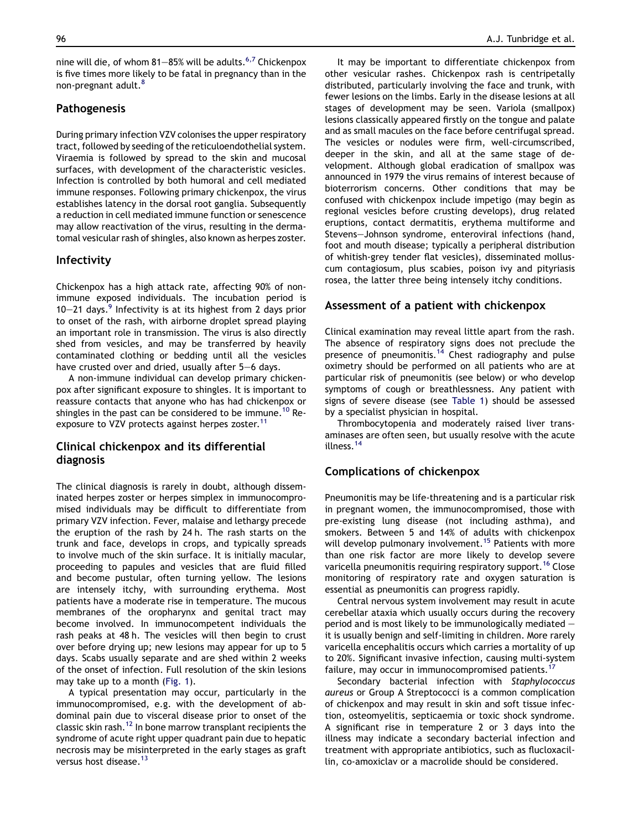nine will die, of whom 81-85% will be adults.<sup>[6,7](#page-5-0)</sup> Chickenpox is five times more likely to be fatal in pregnancy than in the non-pregnant adult.<sup>8</sup>

## Pathogenesis

During primary infection VZV colonises the upper respiratory tract, followed by seeding of the reticuloendothelial system. Viraemia is followed by spread to the skin and mucosal surfaces, with development of the characteristic vesicles. Infection is controlled by both humoral and cell mediated immune responses. Following primary chickenpox, the virus establishes latency in the dorsal root ganglia. Subsequently a reduction in cell mediated immune function or senescence may allow reactivation of the virus, resulting in the dermatomal vesicular rash of shingles, also known as herpes zoster.

## Infectivity

Chickenpox has a high attack rate, affecting 90% of nonimmune exposed individuals. The incubation period is 10–21 days.<sup>[9](#page-6-0)</sup> Infectivity is at its highest from 2 days prior to onset of the rash, with airborne droplet spread playing an important role in transmission. The virus is also directly shed from vesicles, and may be transferred by heavily contaminated clothing or bedding until all the vesicles have crusted over and dried, usually after  $5-6$  days.

A non-immune individual can develop primary chickenpox after significant exposure to shingles. It is important to reassure contacts that anyone who has had chickenpox or shingles in the past can be considered to be immune.<sup>[10](#page-6-0)</sup> Re-exposure to VZV protects against herpes zoster.<sup>[11](#page-6-0)</sup>

## Clinical chickenpox and its differential diagnosis

The clinical diagnosis is rarely in doubt, although disseminated herpes zoster or herpes simplex in immunocompromised individuals may be difficult to differentiate from primary VZV infection. Fever, malaise and lethargy precede the eruption of the rash by 24 h. The rash starts on the trunk and face, develops in crops, and typically spreads to involve much of the skin surface. It is initially macular, proceeding to papules and vesicles that are fluid filled and become pustular, often turning yellow. The lesions are intensely itchy, with surrounding erythema. Most patients have a moderate rise in temperature. The mucous membranes of the oropharynx and genital tract may become involved. In immunocompetent individuals the rash peaks at 48 h. The vesicles will then begin to crust over before drying up; new lesions may appear for up to 5 days. Scabs usually separate and are shed within 2 weeks of the onset of infection. Full resolution of the skin lesions may take up to a month [\(Fig. 1](#page-2-0)).

A typical presentation may occur, particularly in the immunocompromised, e.g. with the development of abdominal pain due to visceral disease prior to onset of the classic skin rash.[12](#page-6-0) In bone marrow transplant recipients the syndrome of acute right upper quadrant pain due to hepatic necrosis may be misinterpreted in the early stages as graft versus host disease.<sup>[13](#page-6-0)</sup>

It may be important to differentiate chickenpox from other vesicular rashes. Chickenpox rash is centripetally distributed, particularly involving the face and trunk, with fewer lesions on the limbs. Early in the disease lesions at all stages of development may be seen. Variola (smallpox) lesions classically appeared firstly on the tongue and palate and as small macules on the face before centrifugal spread. The vesicles or nodules were firm, well-circumscribed, deeper in the skin, and all at the same stage of development. Although global eradication of smallpox was announced in 1979 the virus remains of interest because of bioterrorism concerns. Other conditions that may be confused with chickenpox include impetigo (may begin as regional vesicles before crusting develops), drug related eruptions, contact dermatitis, erythema multiforme and Stevens-Johnson syndrome, enteroviral infections (hand, foot and mouth disease; typically a peripheral distribution of whitish-grey tender flat vesicles), disseminated molluscum contagiosum, plus scabies, poison ivy and pityriasis rosea, the latter three being intensely itchy conditions.

## Assessment of a patient with chickenpox

Clinical examination may reveal little apart from the rash. The absence of respiratory signs does not preclude the presence of pneumonitis.<sup>[14](#page-6-0)</sup> Chest radiography and pulse oximetry should be performed on all patients who are at particular risk of pneumonitis (see below) or who develop symptoms of cough or breathlessness. Any patient with signs of severe disease (see [Table 1](#page-3-0)) should be assessed by a specialist physician in hospital.

Thrombocytopenia and moderately raised liver transaminases are often seen, but usually resolve with the acute illness.[14](#page-6-0)

## Complications of chickenpox

Pneumonitis may be life-threatening and is a particular risk in pregnant women, the immunocompromised, those with pre-existing lung disease (not including asthma), and smokers. Between 5 and 14% of adults with chickenpox will develop pulmonary involvement.<sup>[15](#page-6-0)</sup> Patients with more than one risk factor are more likely to develop severe varicella pneumonitis requiring respiratory support.<sup>[16](#page-6-0)</sup> Close monitoring of respiratory rate and oxygen saturation is essential as pneumonitis can progress rapidly.

Central nervous system involvement may result in acute cerebellar ataxia which usually occurs during the recovery period and is most likely to be immunologically mediated  $$ it is usually benign and self-limiting in children. More rarely varicella encephalitis occurs which carries a mortality of up to 20%. Significant invasive infection, causing multi-system failure, may occur in immunocompromised patients.<sup>[17](#page-6-0)</sup>

Secondary bacterial infection with Staphylococcus aureus or Group A Streptococci is a common complication of chickenpox and may result in skin and soft tissue infection, osteomyelitis, septicaemia or toxic shock syndrome. A significant rise in temperature 2 or 3 days into the illness may indicate a secondary bacterial infection and treatment with appropriate antibiotics, such as flucloxacillin, co-amoxiclav or a macrolide should be considered.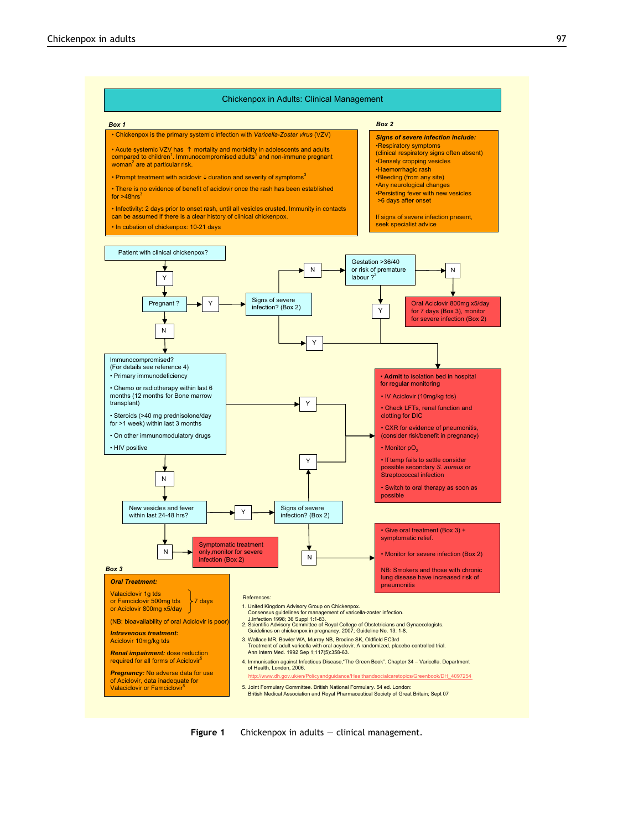

<span id="page-2-0"></span>

Chickenpox in Adults: Clinical Management

Figure 1 Chickenpox in adults  $-$  clinical management.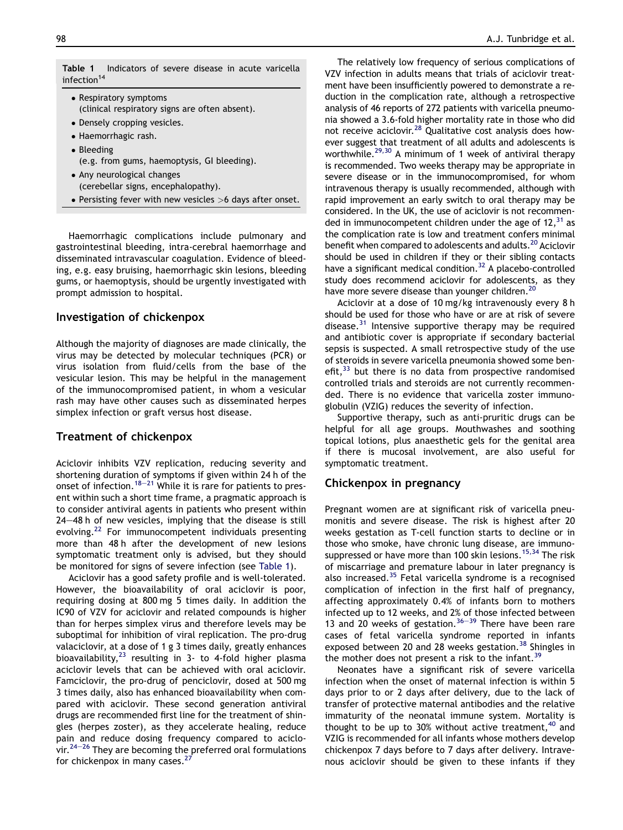- <span id="page-3-0"></span>- Respiratory symptoms (clinical respiratory signs are often absent). - Densely cropping vesicles. - Haemorrhagic rash.
- Bleeding
- (e.g. from gums, haemoptysis, GI bleeding).
- Any neurological changes (cerebellar signs, encephalopathy).
- Persisting fever with new vesicles >6 days after onset.

Haemorrhagic complications include pulmonary and gastrointestinal bleeding, intra-cerebral haemorrhage and disseminated intravascular coagulation. Evidence of bleeding, e.g. easy bruising, haemorrhagic skin lesions, bleeding gums, or haemoptysis, should be urgently investigated with prompt admission to hospital.

# Investigation of chickenpox

Although the majority of diagnoses are made clinically, the virus may be detected by molecular techniques (PCR) or virus isolation from fluid/cells from the base of the vesicular lesion. This may be helpful in the management of the immunocompromised patient, in whom a vesicular rash may have other causes such as disseminated herpes simplex infection or graft versus host disease.

# Treatment of chickenpox

Aciclovir inhibits VZV replication, reducing severity and shortening duration of symptoms if given within 24 h of the onset of infection.<sup>[18](#page-6-0)–[21](#page-6-0)</sup> While it is rare for patients to present within such a short time frame, a pragmatic approach is to consider antiviral agents in patients who present within  $24-48$  h of new vesicles, implying that the disease is still evolving.[22](#page-6-0) For immunocompetent individuals presenting more than 48 h after the development of new lesions symptomatic treatment only is advised, but they should be monitored for signs of severe infection (see Table 1).

Aciclovir has a good safety profile and is well-tolerated. However, the bioavailability of oral aciclovir is poor, requiring dosing at 800 mg 5 times daily. In addition the IC90 of VZV for aciclovir and related compounds is higher than for herpes simplex virus and therefore levels may be suboptimal for inhibition of viral replication. The pro-drug valaciclovir, at a dose of 1 g 3 times daily, greatly enhances bioavailability,[23](#page-6-0) resulting in 3- to 4-fold higher plasma aciclovir levels that can be achieved with oral aciclovir. Famciclovir, the pro-drug of penciclovir, dosed at 500 mg 3 times daily, also has enhanced bioavailability when compared with aciclovir. These second generation antiviral drugs are recommended first line for the treatment of shingles (herpes zoster), as they accelerate healing, reduce pain and reduce dosing frequency compared to aciclo-vir.<sup>[24](#page-6-0)–[26](#page-6-0)</sup> They are becoming the preferred oral formulations for chickenpox in many cases. $^{27}$  $^{27}$  $^{27}$ 

The relatively low frequency of serious complications of VZV infection in adults means that trials of aciclovir treatment have been insufficiently powered to demonstrate a reduction in the complication rate, although a retrospective analysis of 46 reports of 272 patients with varicella pneumonia showed a 3.6-fold higher mortality rate in those who did not receive aciclovir[.28](#page-6-0) Qualitative cost analysis does however suggest that treatment of all adults and adolescents is worthwhile[.29,30](#page-6-0) A minimum of 1 week of antiviral therapy is recommended. Two weeks therapy may be appropriate in severe disease or in the immunocompromised, for whom intravenous therapy is usually recommended, although with rapid improvement an early switch to oral therapy may be considered. In the UK, the use of aciclovir is not recommended in immunocompetent children under the age of  $12<sup>31</sup>$  as the complication rate is low and treatment confers minimal benefit when compared to adolescents and adults[.20](#page-6-0) Aciclovir should be used in children if they or their sibling contacts have a significant medical condition.<sup>32</sup> A placebo-controlled study does recommend aciclovir for adolescents, as they have more severe disease than younger children.<sup>20</sup>

Aciclovir at a dose of 10 mg/kg intravenously every 8 h should be used for those who have or are at risk of severe disease. $31$  Intensive supportive therapy may be required and antibiotic cover is appropriate if secondary bacterial sepsis is suspected. A small retrospective study of the use of steroids in severe varicella pneumonia showed some benefit, $33$  but there is no data from prospective randomised controlled trials and steroids are not currently recommended. There is no evidence that varicella zoster immunoglobulin (VZIG) reduces the severity of infection.

Supportive therapy, such as anti-pruritic drugs can be helpful for all age groups. Mouthwashes and soothing topical lotions, plus anaesthetic gels for the genital area if there is mucosal involvement, are also useful for symptomatic treatment.

# Chickenpox in pregnancy

Pregnant women are at significant risk of varicella pneumonitis and severe disease. The risk is highest after 20 weeks gestation as T-cell function starts to decline or in those who smoke, have chronic lung disease, are immuno-suppressed or have more than 100 skin lesions.<sup>[15,34](#page-6-0)</sup> The risk of miscarriage and premature labour in later pregnancy is also increased.[35](#page-6-0) Fetal varicella syndrome is a recognised complication of infection in the first half of pregnancy, affecting approximately 0.4% of infants born to mothers infected up to 12 weeks, and 2% of those infected between 13 and 20 weeks of gestation.  $36-39$  $36-39$  $36-39$  There have been rare cases of fetal varicella syndrome reported in infants exposed between 20 and 28 weeks gestation.<sup>[38](#page-6-0)</sup> Shingles in the mother does not present a risk to the infant.<sup>[39](#page-6-0)</sup>

Neonates have a significant risk of severe varicella infection when the onset of maternal infection is within 5 days prior to or 2 days after delivery, due to the lack of transfer of protective maternal antibodies and the relative immaturity of the neonatal immune system. Mortality is thought to be up to 30% without active treatment,  $40^{\circ}$  $40^{\circ}$  and VZIG is recommended for all infants whose mothers develop chickenpox 7 days before to 7 days after delivery. Intravenous aciclovir should be given to these infants if they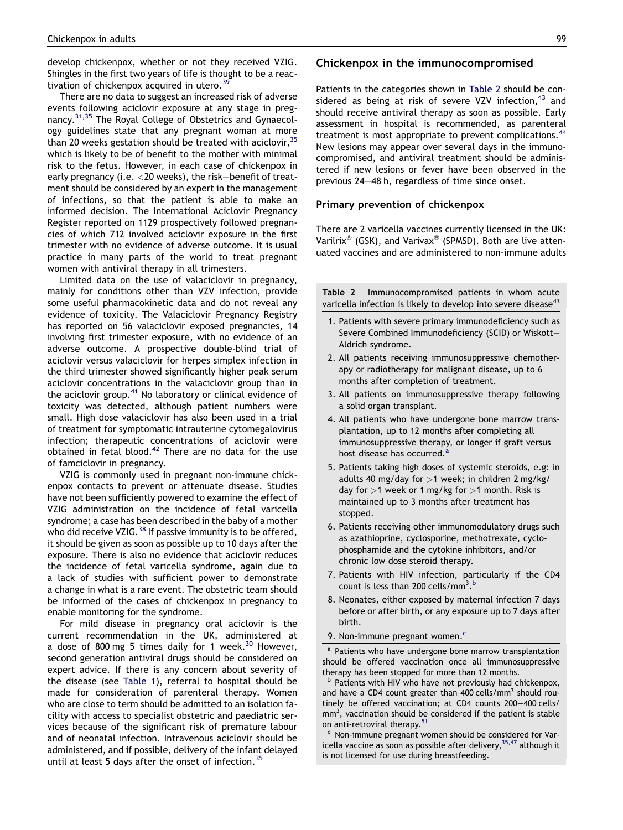<span id="page-4-0"></span>develop chickenpox, whether or not they received VZIG. Shingles in the first two years of life is thought to be a reac-tivation of chickenpox acquired in utero.<sup>[39](#page-6-0)</sup>

There are no data to suggest an increased risk of adverse events following aciclovir exposure at any stage in preg-nancy.<sup>[31,35](#page-6-0)</sup> The Royal College of Obstetrics and Gynaecology guidelines state that any pregnant woman at more than 20 weeks gestation should be treated with aciclovir,  $35$ which is likely to be of benefit to the mother with minimal risk to the fetus. However, in each case of chickenpox in early pregnancy (i.e.  $<$  20 weeks), the risk-benefit of treatment should be considered by an expert in the management of infections, so that the patient is able to make an informed decision. The International Aciclovir Pregnancy Register reported on 1129 prospectively followed pregnancies of which 712 involved aciclovir exposure in the first trimester with no evidence of adverse outcome. It is usual practice in many parts of the world to treat pregnant women with antiviral therapy in all trimesters.

Limited data on the use of valaciclovir in pregnancy, mainly for conditions other than VZV infection, provide some useful pharmacokinetic data and do not reveal any evidence of toxicity. The Valaciclovir Pregnancy Registry has reported on 56 valaciclovir exposed pregnancies, 14 involving first trimester exposure, with no evidence of an adverse outcome. A prospective double-blind trial of aciclovir versus valaciclovir for herpes simplex infection in the third trimester showed significantly higher peak serum aciclovir concentrations in the valaciclovir group than in the aciclovir group.<sup>[41](#page-6-0)</sup> No laboratory or clinical evidence of toxicity was detected, although patient numbers were small. High dose valaciclovir has also been used in a trial of treatment for symptomatic intrauterine cytomegalovirus infection; therapeutic concentrations of aciclovir were obtained in fetal blood. $42$  There are no data for the use of famciclovir in pregnancy.

VZIG is commonly used in pregnant non-immune chickenpox contacts to prevent or attenuate disease. Studies have not been sufficiently powered to examine the effect of VZIG administration on the incidence of fetal varicella syndrome; a case has been described in the baby of a mother who did receive VZIG.<sup>38</sup> If passive immunity is to be offered, it should be given as soon as possible up to 10 days after the exposure. There is also no evidence that aciclovir reduces the incidence of fetal varicella syndrome, again due to a lack of studies with sufficient power to demonstrate a change in what is a rare event. The obstetric team should be informed of the cases of chickenpox in pregnancy to enable monitoring for the syndrome.

For mild disease in pregnancy oral aciclovir is the current recommendation in the UK, administered at a dose of 800 mg 5 times daily for 1 week. $^{30}$  $^{30}$  $^{30}$  However, second generation antiviral drugs should be considered on expert advice. If there is any concern about severity of the disease (see [Table 1](#page-3-0)), referral to hospital should be made for consideration of parenteral therapy. Women who are close to term should be admitted to an isolation facility with access to specialist obstetric and paediatric services because of the significant risk of premature labour and of neonatal infection. Intravenous aciclovir should be administered, and if possible, delivery of the infant delayed until at least 5 days after the onset of infection.<sup>[35](#page-6-0)</sup>

#### Chickenpox in the immunocompromised

Patients in the categories shown in Table 2 should be considered as being at risk of severe VZV infection,  $43$  and should receive antiviral therapy as soon as possible. Early assessment in hospital is recommended, as parenteral treatment is most appropriate to prevent complications.<sup>[44](#page-6-0)</sup> New lesions may appear over several days in the immunocompromised, and antiviral treatment should be administered if new lesions or fever have been observed in the previous 24-48 h, regardless of time since onset.

#### Primary prevention of chickenpox

There are 2 varicella vaccines currently licensed in the UK: Varilrix<sup>®</sup> (GSK), and Varivax<sup>®</sup> (SPMSD). Both are live attenuated vaccines and are administered to non-immune adults

Table 2 Immunocompromised patients in whom acute varicella infection is likely to develop into severe disease<sup>43</sup>

- 1. Patients with severe primary immunodeficiency such as Severe Combined Immunodeficiency (SCID) or Wiskott-Aldrich syndrome.
- 2. All patients receiving immunosuppressive chemotherapy or radiotherapy for malignant disease, up to 6 months after completion of treatment.
- 3. All patients on immunosuppressive therapy following a solid organ transplant.
- 4. All patients who have undergone bone marrow transplantation, up to 12 months after completing all immunosuppressive therapy, or longer if graft versus host disease has occurred.<sup>a</sup>
- 5. Patients taking high doses of systemic steroids, e.g: in adults 40 mg/day for  $>1$  week; in children 2 mg/kg/ day for  $>1$  week or 1 mg/kg for  $>1$  month. Risk is maintained up to 3 months after treatment has stopped.
- 6. Patients receiving other immunomodulatory drugs such as azathioprine, cyclosporine, methotrexate, cyclophosphamide and the cytokine inhibitors, and/or chronic low dose steroid therapy.
- 7. Patients with HIV infection, particularly if the CD4 count is less than 200 cells/mm<sup>3</sup>.<sup>b</sup>
- 8. Neonates, either exposed by maternal infection 7 days before or after birth, or any exposure up to 7 days after birth.
- 9. Non-immune pregnant women.<sup>c</sup>

Patients who have undergone bone marrow transplantation should be offered vaccination once all immunosuppressive therapy has been stopped for more than 12 months.

Patients with HIV who have not previously had chickenpox, and have a CD4 count greater than 400 cells/mm<sup>3</sup> should routinely be offered vaccination; at CD4 counts 200-400 cells/  $mm<sup>3</sup>$ , vaccination should be considered if the patient is stable on anti-retroviral therapy.<sup>51</sup>

<sup>c</sup> Non-immune pregnant women should be considered for Varicella vaccine as soon as possible after delivery,  $35,47$  although it is not licensed for use during breastfeeding.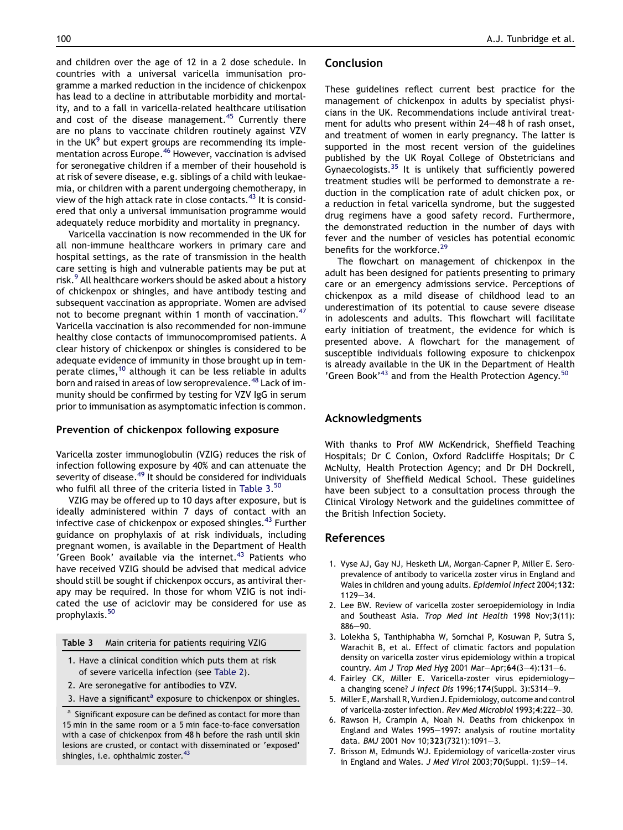<span id="page-5-0"></span>and children over the age of 12 in a 2 dose schedule. In countries with a universal varicella immunisation programme a marked reduction in the incidence of chickenpox has lead to a decline in attributable morbidity and mortality, and to a fall in varicella-related healthcare utilisation and cost of the disease management.<sup>[45](#page-6-0)</sup> Currently there are no plans to vaccinate children routinely against VZV in the UK $9$  but expert groups are recommending its implementation across Europe.[46](#page-6-0) However, vaccination is advised for seronegative children if a member of their household is at risk of severe disease, e.g. siblings of a child with leukaemia, or children with a parent undergoing chemotherapy, in view of the high attack rate in close contacts.<sup>[43](#page-6-0)</sup> It is considered that only a universal immunisation programme would adequately reduce morbidity and mortality in pregnancy.

Varicella vaccination is now recommended in the UK for all non-immune healthcare workers in primary care and hospital settings, as the rate of transmission in the health care setting is high and vulnerable patients may be put at risk.<sup>[9](#page-6-0)</sup> All healthcare workers should be asked about a history of chickenpox or shingles, and have antibody testing and subsequent vaccination as appropriate. Women are advised not to become pregnant within 1 month of vaccination.<sup>[47](#page-7-0)</sup> Varicella vaccination is also recommended for non-immune healthy close contacts of immunocompromised patients. A clear history of chickenpox or shingles is considered to be adequate evidence of immunity in those brought up in temperate climes,<sup>10</sup> although it can be less reliable in adults born and raised in areas of low seroprevalence.<sup>[48](#page-7-0)</sup> Lack of immunity should be confirmed by testing for VZV IgG in serum prior to immunisation as asymptomatic infection is common.

#### Prevention of chickenpox following exposure

Varicella zoster immunoglobulin (VZIG) reduces the risk of infection following exposure by 40% and can attenuate the severity of disease.<sup>[49](#page-7-0)</sup> It should be considered for individuals who fulfil all three of the criteria listed in Table 3. [50](#page-7-0)

VZIG may be offered up to 10 days after exposure, but is ideally administered within 7 days of contact with an infective case of chickenpox or exposed shingles. $43$  Further guidance on prophylaxis of at risk individuals, including pregnant women, is available in the Department of Health 'Green Book' available via the internet.<sup>[43](#page-6-0)</sup> Patients who have received VZIG should be advised that medical advice should still be sought if chickenpox occurs, as antiviral therapy may be required. In those for whom VZIG is not indicated the use of aciclovir may be considered for use as prophylaxis.<sup>[50](#page-7-0)</sup>

| Table 3 | Main criteria for patients requiring VZIG |
|---------|-------------------------------------------|
|---------|-------------------------------------------|

- 1. Have a clinical condition which puts them at risk of severe varicella infection (see [Table 2](#page-4-0)).
- 2. Are seronegative for antibodies to VZV.
- 3. Have a significant<sup>a</sup> exposure to chickenpox or shingles.

a Significant exposure can be defined as contact for more than 15 min in the same room or a 5 min face-to-face conversation with a case of chickenpox from 48 h before the rash until skin lesions are crusted, or contact with disseminated or 'exposed' shingles, i.e. ophthalmic zoster. $43$ 

#### Conclusion

These guidelines reflect current best practice for the management of chickenpox in adults by specialist physicians in the UK. Recommendations include antiviral treatment for adults who present within 24-48 h of rash onset, and treatment of women in early pregnancy. The latter is supported in the most recent version of the guidelines published by the UK Royal College of Obstetricians and Gynaecologists.[35](#page-6-0) It is unlikely that sufficiently powered treatment studies will be performed to demonstrate a reduction in the complication rate of adult chicken pox, or a reduction in fetal varicella syndrome, but the suggested drug regimens have a good safety record. Furthermore, the demonstrated reduction in the number of days with fever and the number of vesicles has potential economic benefits for the workforce.<sup>29</sup>

The flowchart on management of chickenpox in the adult has been designed for patients presenting to primary care or an emergency admissions service. Perceptions of chickenpox as a mild disease of childhood lead to an underestimation of its potential to cause severe disease in adolescents and adults. This flowchart will facilitate early initiation of treatment, the evidence for which is presented above. A flowchart for the management of susceptible individuals following exposure to chickenpox is already available in the UK in the Department of Health 'Green Book<sup>'[43](#page-6-0)</sup> and from the Health Protection Agency.<sup>[50](#page-7-0)</sup>

## Acknowledgments

With thanks to Prof MW McKendrick, Sheffield Teaching Hospitals; Dr C Conlon, Oxford Radcliffe Hospitals; Dr C McNulty, Health Protection Agency; and Dr DH Dockrell, University of Sheffield Medical School. These guidelines have been subject to a consultation process through the Clinical Virology Network and the guidelines committee of the British Infection Society.

#### References

- 1. Vyse AJ, Gay NJ, Hesketh LM, Morgan-Capner P, Miller E. Seroprevalence of antibody to varicella zoster virus in England and Wales in children and young adults. Epidemiol Infect 2004;132:  $1129 - 34.$
- 2. Lee BW. Review of varicella zoster seroepidemiology in India and Southeast Asia. Trop Med Int Health 1998 Nov;3(11):  $886 - 90$ .
- 3. Lolekha S, Tanthiphabha W, Sornchai P, Kosuwan P, Sutra S, Warachit B, et al. Effect of climatic factors and population density on varicella zoster virus epidemiology within a tropical country. Am J Trop Med Hyg 2001 Mar $-Apr;64(3-4):131-6$ .
- 4. Fairley CK, Miller E. Varicella-zoster virus epidemiologya changing scene? J Infect Dis 1996;174(Suppl. 3):S314-9.
- 5. Miller E, Marshall R, Vurdien J. Epidemiology, outcome and control of varicella-zoster infection. Rev Med Microbiol 1993;4:222-30.
- 6. Rawson H, Crampin A, Noah N. Deaths from chickenpox in England and Wales 1995-1997: analysis of routine mortality data. BMJ 2001 Nov 10;323(7321):1091-3.
- 7. Brisson M, Edmunds WJ. Epidemiology of varicella-zoster virus in England and Wales. J Med Virol 2003;  $70$ (Suppl. 1): S9-14.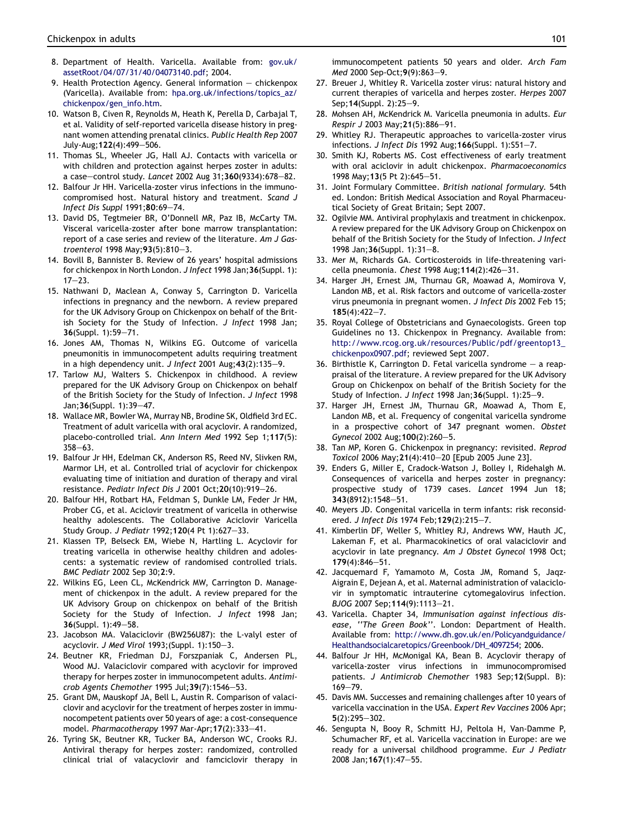- <span id="page-6-0"></span>8. Department of Health. Varicella. Available from: [gov.uk/](http://gov.uk/assetRoot/04/07/31/40/04073140.pdf) [assetRoot/04/07/31/40/04073140.pdf;](http://gov.uk/assetRoot/04/07/31/40/04073140.pdf) 2004.
- 9. Health Protection Agency. General information  $-$  chickenpox (Varicella). Available from: [hpa.org.uk/infections/topics\\_az/](http://hpa.org.uk/infections/topics_az/chickenpox/gen_info.htm) [chickenpox/gen\\_info.htm.](http://hpa.org.uk/infections/topics_az/chickenpox/gen_info.htm)
- 10. Watson B, Civen R, Reynolds M, Heath K, Perella D, Carbajal T, et al. Validity of self-reported varicella disease history in pregnant women attending prenatal clinics. Public Health Rep 2007 July-Aug; 122(4): 499-506.
- 11. Thomas SL, Wheeler JG, Hall AJ. Contacts with varicella or with children and protection against herpes zoster in adults: a case-control study. Lancet 2002 Aug 31;360(9334):678-82.
- 12. Balfour Jr HH. Varicella-zoster virus infections in the immunocompromised host. Natural history and treatment. Scand J Infect Dis Suppl 1991;80:69-74.
- 13. David DS, Tegtmeier BR, O'Donnell MR, Paz IB, McCarty TM. Visceral varicella-zoster after bone marrow transplantation: report of a case series and review of the literature. Am J Gastroenterol 1998 May;  $93(5):810-3$ .
- 14. Bovill B, Bannister B. Review of 26 years' hospital admissions for chickenpox in North London. J Infect 1998 Jan;36(Suppl. 1):  $17 - 23$
- 15. Nathwani D, Maclean A, Conway S, Carrington D. Varicella infections in pregnancy and the newborn. A review prepared for the UK Advisory Group on Chickenpox on behalf of the British Society for the Study of Infection. J Infect 1998 Jan; 36(Suppl. 1):59-71.
- 16. Jones AM, Thomas N, Wilkins EG. Outcome of varicella pneumonitis in immunocompetent adults requiring treatment in a high dependency unit. J Infect 2001 Aug;  $43(2):135-9$ .
- 17. Tarlow MJ, Walters S. Chickenpox in childhood. A review prepared for the UK Advisory Group on Chickenpox on behalf of the British Society for the Study of Infection. J Infect 1998 Jan; 36(Suppl. 1): 39-47.
- 18. Wallace MR, Bowler WA, Murray NB, Brodine SK, Oldfield 3rd EC. Treatment of adult varicella with oral acyclovir. A randomized, placebo-controlled trial. Ann Intern Med 1992 Sep 1;117(5):  $358 - 63.$
- 19. Balfour Jr HH, Edelman CK, Anderson RS, Reed NV, Slivken RM, Marmor LH, et al. Controlled trial of acyclovir for chickenpox evaluating time of initiation and duration of therapy and viral resistance. Pediatr Infect Dis J 2001 Oct; 20(10): 919-26.
- 20. Balfour HH, Rotbart HA, Feldman S, Dunkle LM, Feder Jr HM, Prober CG, et al. Aciclovir treatment of varicella in otherwise healthy adolescents. The Collaborative Aciclovir Varicella Study Group. J Pediatr 1992;120(4 Pt 1):627-33.
- 21. Klassen TP, Belseck EM, Wiebe N, Hartling L. Acyclovir for treating varicella in otherwise healthy children and adolescents: a systematic review of randomised controlled trials. BMC Pediatr 2002 Sep 30;2:9.
- 22. Wilkins EG, Leen CL, McKendrick MW, Carrington D. Management of chickenpox in the adult. A review prepared for the UK Advisory Group on chickenpox on behalf of the British Society for the Study of Infection. J Infect 1998 Jan; 36(Suppl. 1):49-58.
- 23. Jacobson MA. Valaciclovir (BW256U87): the L-valyl ester of acyclovir. J Med Virol 1993;(Suppl. 1):150-3.
- 24. Beutner KR, Friedman DJ, Forszpaniak C, Andersen PL, Wood MJ. Valaciclovir compared with acyclovir for improved therapy for herpes zoster in immunocompetent adults. Antimicrob Agents Chemother 1995 Jul;  $39(7)$ : 1546-53.
- 25. Grant DM, Mauskopf JA, Bell L, Austin R. Comparison of valaciclovir and acyclovir for the treatment of herpes zoster in immunocompetent patients over 50 years of age: a cost-consequence model. Pharmacotherapy 1997 Mar-Apr; 17(2): 333-41.
- 26. Tyring SK, Beutner KR, Tucker BA, Anderson WC, Crooks RJ. Antiviral therapy for herpes zoster: randomized, controlled clinical trial of valacyclovir and famciclovir therapy in

immunocompetent patients 50 years and older. Arch Fam Med 2000 Sep-Oct; 9(9): 863-9.

- 27. Breuer J, Whitley R. Varicella zoster virus: natural history and current therapies of varicella and herpes zoster. Herpes 2007 Sep; 14(Suppl. 2): 25-9.
- 28. Mohsen AH, McKendrick M. Varicella pneumonia in adults. Eur Respir J 2003 May; 21(5): 886-91.
- 29. Whitley RJ. Therapeutic approaches to varicella-zoster virus infections. J Infect Dis 1992 Aug;  $166$ (Suppl. 1): S51-7.
- 30. Smith KJ, Roberts MS. Cost effectiveness of early treatment with oral aciclovir in adult chickenpox. Pharmacoeconomics 1998 May; 13(5 Pt 2): 645-51.
- 31. Joint Formulary Committee. British national formulary. 54th ed. London: British Medical Association and Royal Pharmaceutical Society of Great Britain; Sept 2007.
- 32. Ogilvie MM. Antiviral prophylaxis and treatment in chickenpox. A review prepared for the UK Advisory Group on Chickenpox on behalf of the British Society for the Study of Infection. J Infect 1998 Jan; 36(Suppl. 1): 31-8.
- 33. Mer M, Richards GA. Corticosteroids in life-threatening varicella pneumonia. Chest 1998 Aug;  $114(2):426-31$ .
- 34. Harger JH, Ernest JM, Thurnau GR, Moawad A, Momirova V, Landon MB, et al. Risk factors and outcome of varicella-zoster virus pneumonia in pregnant women. J Infect Dis 2002 Feb 15;  $185(4):422-7.$
- 35. Royal College of Obstetricians and Gynaecologists. Green top Guidelines no 13. Chickenpox in Pregnancy. Available from: [http://www.rcog.org.uk/resources/Public/pdf/greentop13\\_](http://www.rcog.org.uk/resources/Public/pdf/greentop13_chickenpox0907.pdf) [chickenpox0907.pdf](http://www.rcog.org.uk/resources/Public/pdf/greentop13_chickenpox0907.pdf); reviewed Sept 2007.
- 36. Birthistle K, Carrington D. Fetal varicella syndrome  $-$  a reappraisal of the literature. A review prepared for the UK Advisory Group on Chickenpox on behalf of the British Society for the Study of Infection. J Infect 1998 Jan; 36(Suppl. 1): 25-9.
- 37. Harger JH, Ernest JM, Thurnau GR, Moawad A, Thom E, Landon MB, et al. Frequency of congenital varicella syndrome in a prospective cohort of 347 pregnant women. Obstet Gynecol 2002 Aug; 100(2):260-5.
- 38. Tan MP, Koren G. Chickenpox in pregnancy: revisited. Reprod Toxicol 2006 May; 21(4): 410-20 [Epub 2005 June 23].
- 39. Enders G, Miller E, Cradock-Watson J, Bolley I, Ridehalgh M. Consequences of varicella and herpes zoster in pregnancy: prospective study of 1739 cases. Lancet 1994 Jun 18; 343(8912):1548-51.
- 40. Meyers JD. Congenital varicella in term infants: risk reconsidered. J Infect Dis 1974 Feb: 129(2): 215-7.
- 41. Kimberlin DF, Weller S, Whitley RJ, Andrews WW, Hauth JC, Lakeman F, et al. Pharmacokinetics of oral valaciclovir and acyclovir in late pregnancy. Am J Obstet Gynecol 1998 Oct;  $179(4):846 - 51.$
- 42. Jacquemard F, Yamamoto M, Costa JM, Romand S, Jaqz-Aigrain E, Dejean A, et al. Maternal administration of valaciclovir in symptomatic intrauterine cytomegalovirus infection. BJOG 2007 Sep; 114(9): 1113-21.
- 43. Varicella. Chapter 34, Immunisation against infectious disease, ''The Green Book''. London: Department of Health. Available from: [http://www.dh.gov.uk/en/Policyandguidance/](http://www.dh.gov.uk/en/Policyandguidance/Healthandsocialcaretopics/Greenbook/DH_4097254) [Healthandsocialcaretopics/Greenbook/DH\\_4097254;](http://www.dh.gov.uk/en/Policyandguidance/Healthandsocialcaretopics/Greenbook/DH_4097254) 2006.
- 44. Balfour Jr HH, McMonigal KA, Bean B. Acyclovir therapy of varicella-zoster virus infections in immunocompromised patients. J Antimicrob Chemother 1983 Sep;12(Suppl. B): 169-79
- 45. Davis MM. Successes and remaining challenges after 10 years of varicella vaccination in the USA. Expert Rev Vaccines 2006 Apr;  $5(2):295-302.$
- 46. Sengupta N, Booy R, Schmitt HJ, Peltola H, Van-Damme P, Schumacher RF, et al. Varicella vaccination in Europe: are we ready for a universal childhood programme. Eur J Pediatr 2008 Jan; 167(1): 47-55.